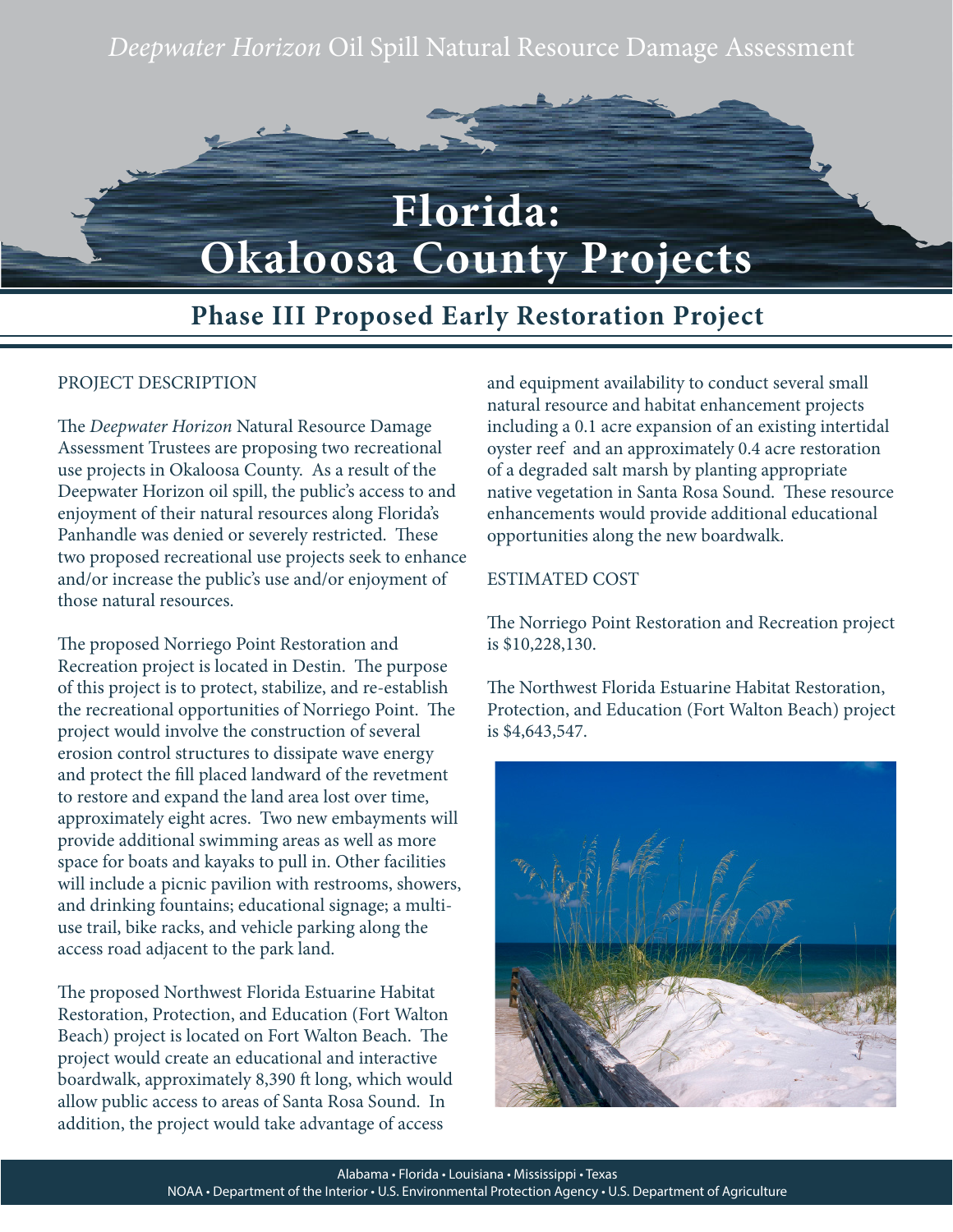*Deepwater Horizon* Oil Spill Natural Resource Damage Assessment



## **Phase III Proposed Early Restoration Project**

## PROJECT DESCRIPTION

The *Deepwater Horizon* Natural Resource Damage Assessment Trustees are proposing two recreational use projects in Okaloosa County. As a result of the Deepwater Horizon oil spill, the public's access to and enjoyment of their natural resources along Florida's Panhandle was denied or severely restricted. These two proposed recreational use projects seek to enhance and/or increase the public's use and/or enjoyment of those natural resources.

The proposed Norriego Point Restoration and Recreation project is located in Destin. The purpose of this project is to protect, stabilize, and re-establish the recreational opportunities of Norriego Point. The project would involve the construction of several erosion control structures to dissipate wave energy and protect the fill placed landward of the revetment to restore and expand the land area lost over time, approximately eight acres. Two new embayments will provide additional swimming areas as well as more space for boats and kayaks to pull in. Other facilities will include a picnic pavilion with restrooms, showers, and drinking fountains; educational signage; a multiuse trail, bike racks, and vehicle parking along the access road adjacent to the park land.

The proposed Northwest Florida Estuarine Habitat Restoration, Protection, and Education (Fort Walton Beach) project is located on Fort Walton Beach. The project would create an educational and interactive boardwalk, approximately 8,390 ft long, which would allow public access to areas of Santa Rosa Sound. In addition, the project would take advantage of access

and equipment availability to conduct several small natural resource and habitat enhancement projects including a 0.1 acre expansion of an existing intertidal oyster reef and an approximately 0.4 acre restoration of a degraded salt marsh by planting appropriate native vegetation in Santa Rosa Sound. These resource enhancements would provide additional educational opportunities along the new boardwalk.

## ESTIMATED COST

The Norriego Point Restoration and Recreation project is \$10,228,130.

The Northwest Florida Estuarine Habitat Restoration, Protection, and Education (Fort Walton Beach) project is \$4,643,547.